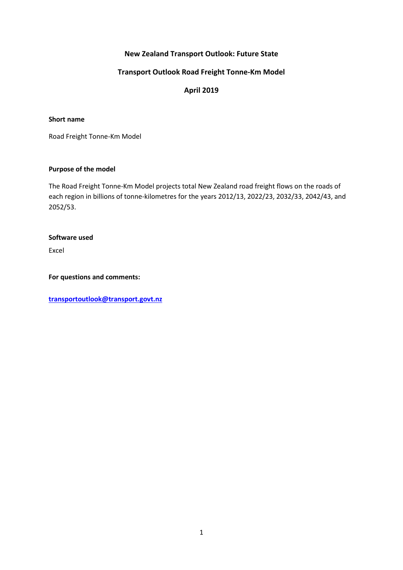# **New Zealand Transport Outlook: Future State**

### **Transport Outlook Road Freight Tonne-Km Model**

# **April 2019**

#### **Short name**

Road Freight Tonne-Km Model

#### **Purpose of the model**

The Road Freight Tonne-Km Model projects total New Zealand road freight flows on the roads of each region in billions of tonne-kilometres for the years 2012/13, 2022/23, 2032/33, 2042/43, and 2052/53.

#### **Software used**

Excel

**For questions and comments:** 

**[transportoutlook@transport.govt.nz](mailto:transportoutlook@transport.govt.nz)**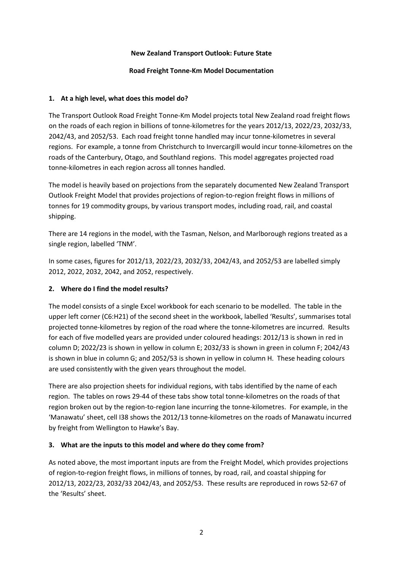### **New Zealand Transport Outlook: Future State**

#### **Road Freight Tonne-Km Model Documentation**

#### **1. At a high level, what does this model do?**

The Transport Outlook Road Freight Tonne-Km Model projects total New Zealand road freight flows on the roads of each region in billions of tonne-kilometres for the years 2012/13, 2022/23, 2032/33, 2042/43, and 2052/53. Each road freight tonne handled may incur tonne-kilometres in several regions. For example, a tonne from Christchurch to Invercargill would incur tonne-kilometres on the roads of the Canterbury, Otago, and Southland regions. This model aggregates projected road tonne-kilometres in each region across all tonnes handled.

The model is heavily based on projections from the separately documented New Zealand Transport Outlook Freight Model that provides projections of region-to-region freight flows in millions of tonnes for 19 commodity groups, by various transport modes, including road, rail, and coastal shipping.

There are 14 regions in the model, with the Tasman, Nelson, and Marlborough regions treated as a single region, labelled 'TNM'.

In some cases, figures for 2012/13, 2022/23, 2032/33, 2042/43, and 2052/53 are labelled simply 2012, 2022, 2032, 2042, and 2052, respectively.

## **2. Where do I find the model results?**

The model consists of a single Excel workbook for each scenario to be modelled. The table in the upper left corner (C6:H21) of the second sheet in the workbook, labelled 'Results', summarises total projected tonne-kilometres by region of the road where the tonne-kilometres are incurred. Results for each of five modelled years are provided under coloured headings: 2012/13 is shown in red in column D; 2022/23 is shown in yellow in column E; 2032/33 is shown in green in column F; 2042/43 is shown in blue in column G; and 2052/53 is shown in yellow in column H. These heading colours are used consistently with the given years throughout the model.

There are also projection sheets for individual regions, with tabs identified by the name of each region. The tables on rows 29-44 of these tabs show total tonne-kilometres on the roads of that region broken out by the region-to-region lane incurring the tonne-kilometres. For example, in the 'Manawatu' sheet, cell I38 shows the 2012/13 tonne-kilometres on the roads of Manawatu incurred by freight from Wellington to Hawke's Bay.

## **3. What are the inputs to this model and where do they come from?**

As noted above, the most important inputs are from the Freight Model, which provides projections of region-to-region freight flows, in millions of tonnes, by road, rail, and coastal shipping for 2012/13, 2022/23, 2032/33 2042/43, and 2052/53. These results are reproduced in rows 52-67 of the 'Results' sheet.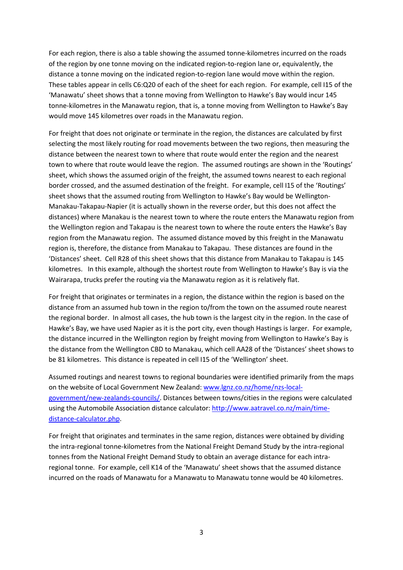For each region, there is also a table showing the assumed tonne-kilometres incurred on the roads of the region by one tonne moving on the indicated region-to-region lane or, equivalently, the distance a tonne moving on the indicated region-to-region lane would move within the region. These tables appear in cells C6:Q20 of each of the sheet for each region. For example, cell I15 of the 'Manawatu' sheet shows that a tonne moving from Wellington to Hawke's Bay would incur 145 tonne-kilometres in the Manawatu region, that is, a tonne moving from Wellington to Hawke's Bay would move 145 kilometres over roads in the Manawatu region.

For freight that does not originate or terminate in the region, the distances are calculated by first selecting the most likely routing for road movements between the two regions, then measuring the distance between the nearest town to where that route would enter the region and the nearest town to where that route would leave the region. The assumed routings are shown in the 'Routings' sheet, which shows the assumed origin of the freight, the assumed towns nearest to each regional border crossed, and the assumed destination of the freight. For example, cell I15 of the 'Routings' sheet shows that the assumed routing from Wellington to Hawke's Bay would be Wellington-Manakau-Takapau-Napier (it is actually shown in the reverse order, but this does not affect the distances) where Manakau is the nearest town to where the route enters the Manawatu region from the Wellington region and Takapau is the nearest town to where the route enters the Hawke's Bay region from the Manawatu region. The assumed distance moved by this freight in the Manawatu region is, therefore, the distance from Manakau to Takapau. These distances are found in the 'Distances' sheet. Cell R28 of this sheet shows that this distance from Manakau to Takapau is 145 kilometres. In this example, although the shortest route from Wellington to Hawke's Bay is via the Wairarapa, trucks prefer the routing via the Manawatu region as it is relatively flat.

For freight that originates or terminates in a region, the distance within the region is based on the distance from an assumed hub town in the region to/from the town on the assumed route nearest the regional border. In almost all cases, the hub town is the largest city in the region. In the case of Hawke's Bay, we have used Napier as it is the port city, even though Hastings is larger. For example, the distance incurred in the Wellington region by freight moving from Wellington to Hawke's Bay is the distance from the Wellington CBD to Manakau, which cell AA28 of the 'Distances' sheet shows to be 81 kilometres. This distance is repeated in cell I15 of the 'Wellington' sheet.

Assumed routings and nearest towns to regional boundaries were identified primarily from the maps on the website of Local Government New Zealand[: www.lgnz.co.nz/home/nzs-local](http://www.lgnz.co.nz/home/nzs-local-government/new-zealands-councils/)[government/new-zealands-councils/.](http://www.lgnz.co.nz/home/nzs-local-government/new-zealands-councils/) Distances between towns/cities in the regions were calculated using the Automobile Association distance calculator: [http://www.aatravel.co.nz/main/time](http://www.aatravel.co.nz/main/time-distance-calculator.php)[distance-calculator.php.](http://www.aatravel.co.nz/main/time-distance-calculator.php)

For freight that originates and terminates in the same region, distances were obtained by dividing the intra-regional tonne-kilometres from the National Freight Demand Study by the intra-regional tonnes from the National Freight Demand Study to obtain an average distance for each intraregional tonne. For example, cell K14 of the 'Manawatu' sheet shows that the assumed distance incurred on the roads of Manawatu for a Manawatu to Manawatu tonne would be 40 kilometres.